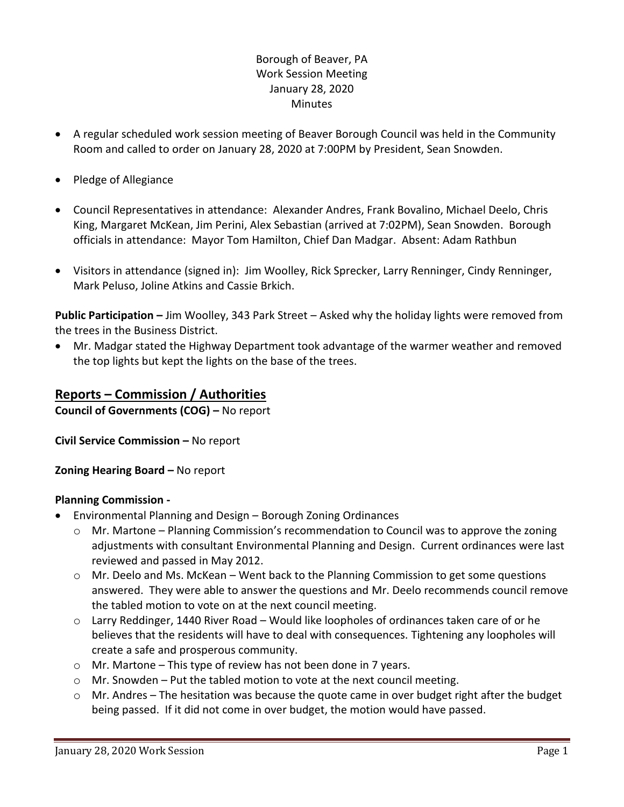# Borough of Beaver, PA Work Session Meeting January 28, 2020 **Minutes**

- A regular scheduled work session meeting of Beaver Borough Council was held in the Community Room and called to order on January 28, 2020 at 7:00PM by President, Sean Snowden.
- Pledge of Allegiance
- Council Representatives in attendance: Alexander Andres, Frank Bovalino, Michael Deelo, Chris King, Margaret McKean, Jim Perini, Alex Sebastian (arrived at 7:02PM), Sean Snowden. Borough officials in attendance: Mayor Tom Hamilton, Chief Dan Madgar. Absent: Adam Rathbun
- Visitors in attendance (signed in): Jim Woolley, Rick Sprecker, Larry Renninger, Cindy Renninger, Mark Peluso, Joline Atkins and Cassie Brkich.

**Public Participation –** Jim Woolley, 343 Park Street – Asked why the holiday lights were removed from the trees in the Business District.

 Mr. Madgar stated the Highway Department took advantage of the warmer weather and removed the top lights but kept the lights on the base of the trees.

# **Reports – Commission / Authorities**

**Council of Governments (COG) –** No report

**Civil Service Commission –** No report

**Zoning Hearing Board –** No report

## **Planning Commission -**

- Environmental Planning and Design Borough Zoning Ordinances
	- $\circ$  Mr. Martone Planning Commission's recommendation to Council was to approve the zoning adjustments with consultant Environmental Planning and Design. Current ordinances were last reviewed and passed in May 2012.
	- $\circ$  Mr. Deelo and Ms. McKean Went back to the Planning Commission to get some questions answered. They were able to answer the questions and Mr. Deelo recommends council remove the tabled motion to vote on at the next council meeting.
	- $\circ$  Larry Reddinger, 1440 River Road Would like loopholes of ordinances taken care of or he believes that the residents will have to deal with consequences. Tightening any loopholes will create a safe and prosperous community.
	- o Mr. Martone This type of review has not been done in 7 years.
	- $\circ$  Mr. Snowden Put the tabled motion to vote at the next council meeting.
	- $\circ$  Mr. Andres The hesitation was because the quote came in over budget right after the budget being passed. If it did not come in over budget, the motion would have passed.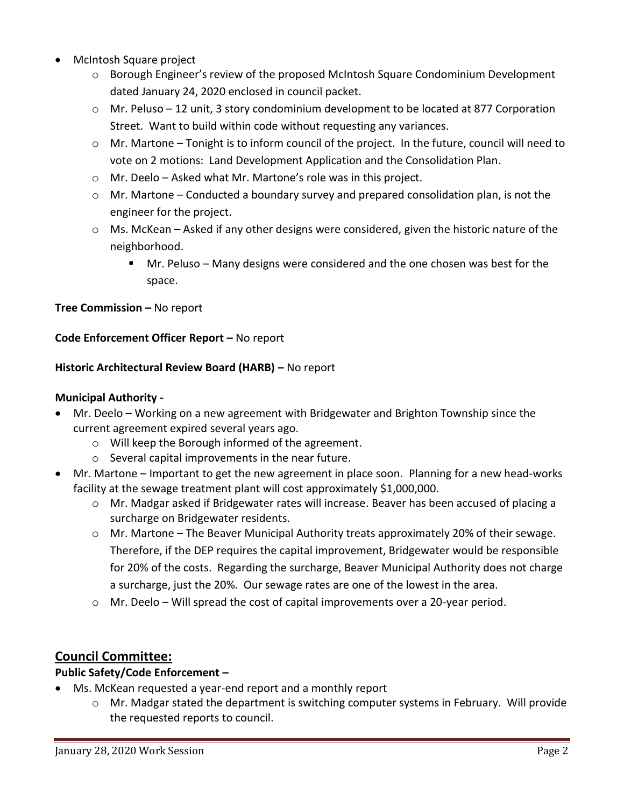- McIntosh Square project
	- o Borough Engineer's review of the proposed McIntosh Square Condominium Development dated January 24, 2020 enclosed in council packet.
	- $\circ$  Mr. Peluso 12 unit, 3 story condominium development to be located at 877 Corporation Street. Want to build within code without requesting any variances.
	- $\circ$  Mr. Martone Tonight is to inform council of the project. In the future, council will need to vote on 2 motions: Land Development Application and the Consolidation Plan.
	- o Mr. Deelo Asked what Mr. Martone's role was in this project.
	- $\circ$  Mr. Martone Conducted a boundary survey and prepared consolidation plan, is not the engineer for the project.
	- o Ms. McKean Asked if any other designs were considered, given the historic nature of the neighborhood.
		- Mr. Peluso Many designs were considered and the one chosen was best for the space.

**Tree Commission –** No report

### **Code Enforcement Officer Report –** No report

### **Historic Architectural Review Board (HARB) –** No report

### **Municipal Authority -**

- Mr. Deelo Working on a new agreement with Bridgewater and Brighton Township since the current agreement expired several years ago.
	- o Will keep the Borough informed of the agreement.
	- o Several capital improvements in the near future.
- Mr. Martone Important to get the new agreement in place soon. Planning for a new head-works facility at the sewage treatment plant will cost approximately \$1,000,000.
	- o Mr. Madgar asked if Bridgewater rates will increase. Beaver has been accused of placing a surcharge on Bridgewater residents.
	- $\circ$  Mr. Martone The Beaver Municipal Authority treats approximately 20% of their sewage. Therefore, if the DEP requires the capital improvement, Bridgewater would be responsible for 20% of the costs. Regarding the surcharge, Beaver Municipal Authority does not charge a surcharge, just the 20%. Our sewage rates are one of the lowest in the area.
	- $\circ$  Mr. Deelo Will spread the cost of capital improvements over a 20-year period.

# **Council Committee:**

## **Public Safety/Code Enforcement –**

- Ms. McKean requested a year-end report and a monthly report
	- o Mr. Madgar stated the department is switching computer systems in February. Will provide the requested reports to council.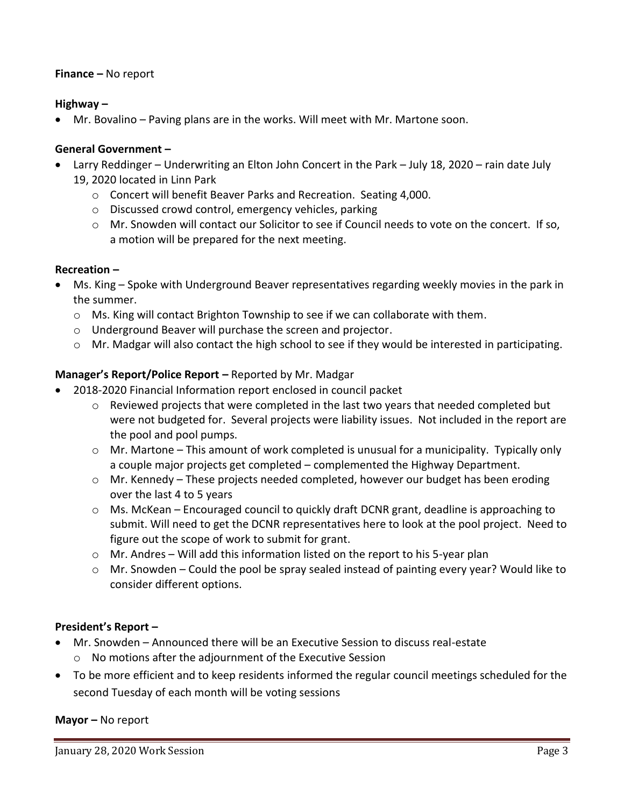### **Finance –** No report

### **Highway –**

Mr. Bovalino – Paving plans are in the works. Will meet with Mr. Martone soon.

## **General Government –**

- Larry Reddinger Underwriting an Elton John Concert in the Park July 18, 2020 rain date July 19, 2020 located in Linn Park
	- o Concert will benefit Beaver Parks and Recreation. Seating 4,000.
	- o Discussed crowd control, emergency vehicles, parking
	- o Mr. Snowden will contact our Solicitor to see if Council needs to vote on the concert. If so, a motion will be prepared for the next meeting.

### **Recreation –**

- Ms. King Spoke with Underground Beaver representatives regarding weekly movies in the park in the summer.
	- $\circ$  Ms. King will contact Brighton Township to see if we can collaborate with them.
	- o Underground Beaver will purchase the screen and projector.
	- $\circ$  Mr. Madgar will also contact the high school to see if they would be interested in participating.

### **Manager's Report/Police Report –** Reported by Mr. Madgar

- 2018-2020 Financial Information report enclosed in council packet
	- $\circ$  Reviewed projects that were completed in the last two years that needed completed but were not budgeted for. Several projects were liability issues. Not included in the report are the pool and pool pumps.
	- $\circ$  Mr. Martone This amount of work completed is unusual for a municipality. Typically only a couple major projects get completed – complemented the Highway Department.
	- $\circ$  Mr. Kennedy These projects needed completed, however our budget has been eroding over the last 4 to 5 years
	- o Ms. McKean Encouraged council to quickly draft DCNR grant, deadline is approaching to submit. Will need to get the DCNR representatives here to look at the pool project. Need to figure out the scope of work to submit for grant.
	- o Mr. Andres Will add this information listed on the report to his 5-year plan
	- $\circ$  Mr. Snowden Could the pool be spray sealed instead of painting every year? Would like to consider different options.

### **President's Report –**

- Mr. Snowden Announced there will be an Executive Session to discuss real-estate
	- o No motions after the adjournment of the Executive Session
- To be more efficient and to keep residents informed the regular council meetings scheduled for the second Tuesday of each month will be voting sessions

**Mayor –** No report